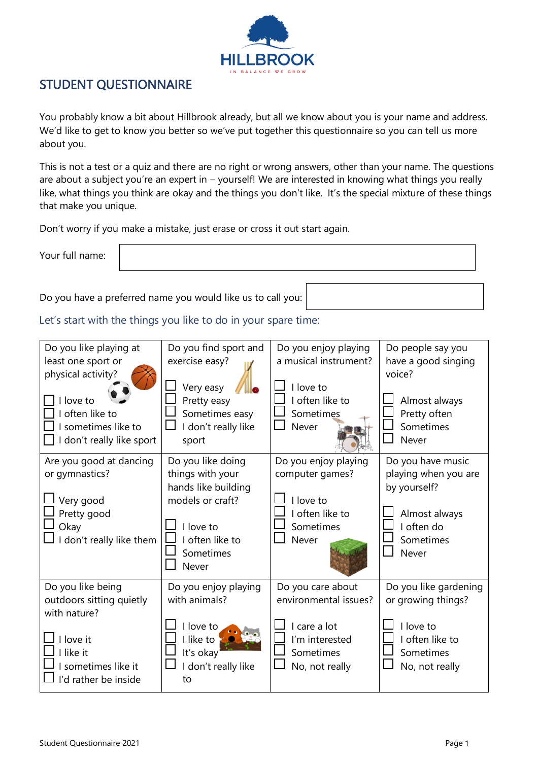

### STUDENT QUESTIONNAIRE

You probably know a bit about Hillbrook already, but all we know about you is your name and address. We'd like to get to know you better so we've put together this questionnaire so you can tell us more about you.

This is not a test or a quiz and there are no right or wrong answers, other than your name. The questions are about a subject you're an expert in – yourself! We are interested in knowing what things you really like, what things you think are okay and the things you don't like. It's the special mixture of these things that make you unique.

Don't worry if you make a mistake, just erase or cross it out start again.

Your full name:

Do you have a preferred name you would like us to call you:

Let's start with the things you like to do in your spare time:

| Do you like playing at<br>least one sport or<br>physical activity?<br>I love to<br>I often like to<br>sometimes like to<br>I don't really like sport | Do you find sport and<br>exercise easy?<br>Very easy<br>Pretty easy<br>Sometimes easy<br>don't really like<br>sport                  | Do you enjoy playing<br>a musical instrument?<br>I love to<br>I often like to<br>Sometimes<br>Never         | Do people say you<br>have a good singing<br>voice?<br>Almost always<br>Pretty often<br>Sometimes<br>Never      |
|------------------------------------------------------------------------------------------------------------------------------------------------------|--------------------------------------------------------------------------------------------------------------------------------------|-------------------------------------------------------------------------------------------------------------|----------------------------------------------------------------------------------------------------------------|
| Are you good at dancing<br>or gymnastics?<br>Very good<br>Pretty good<br>Okay<br>I don't really like them                                            | Do you like doing<br>things with your<br>hands like building<br>models or craft?<br>I love to<br>often like to<br>Sometimes<br>Never | Do you enjoy playing<br>computer games?<br>I love to<br>I often like to<br>Sometimes<br>Never               | Do you have music<br>playing when you are<br>by yourself?<br>Almost always<br>I often do<br>Sometimes<br>Never |
| Do you like being<br>outdoors sitting quietly<br>with nature?<br>I love it<br>I like it<br>sometimes like it<br>I'd rather be inside                 | Do you enjoy playing<br>with animals?<br>I love to<br>I like to<br>It's okay<br>don't really like<br>to                              | Do you care about<br>environmental issues?<br>I care a lot<br>I'm interested<br>Sometimes<br>No, not really | Do you like gardening<br>or growing things?<br>I love to<br>I often like to<br>Sometimes<br>No, not really     |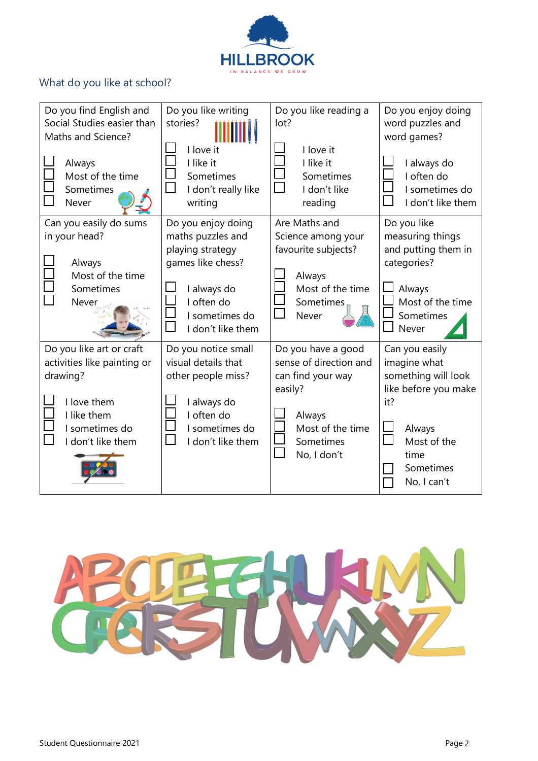

## What do you like at school?

| Do you find English and<br>Social Studies easier than<br>Maths and Science?<br>Always<br>Most of the time<br>Sometimes<br>Never          | Do you like writing<br>stories?<br>I love it<br>I like it<br>Sometimes<br>I don't really like<br>writing                                             | Do you like reading a<br>lot?<br>I love it<br>I like it<br>Sometimes<br>I don't like<br>reading                                                  | Do you enjoy doing<br>word puzzles and<br>word games?<br>I always do<br>I often do<br>I sometimes do<br>I don't like them                         |
|------------------------------------------------------------------------------------------------------------------------------------------|------------------------------------------------------------------------------------------------------------------------------------------------------|--------------------------------------------------------------------------------------------------------------------------------------------------|---------------------------------------------------------------------------------------------------------------------------------------------------|
| Can you easily do sums<br>in your head?<br>Always<br>Most of the time<br>Sometimes<br>Never                                              | Do you enjoy doing<br>maths puzzles and<br>playing strategy<br>games like chess?<br>I always do<br>I often do<br>I sometimes do<br>I don't like them | Are Maths and<br>Science among your<br>favourite subjects?<br>Always<br>Most of the time<br>Sometimes<br>Never                                   | Do you like<br>measuring things<br>and putting them in<br>categories?<br>Always<br>Most of the time<br>Sometimes<br>Never                         |
| Do you like art or craft<br>activities like painting or<br>drawing?<br>I love them<br>I like them<br>I sometimes do<br>I don't like them | Do you notice small<br>visual details that<br>other people miss?<br>I always do<br>I often do<br>I sometimes do<br>I don't like them                 | Do you have a good<br>sense of direction and<br>can find your way<br>easily?<br>Always<br>Most of the time<br>Sometimes<br>$\Box$<br>No, I don't | Can you easily<br>imagine what<br>something will look<br>like before you make<br>it?<br>Always<br>Most of the<br>time<br>Sometimes<br>No, I can't |

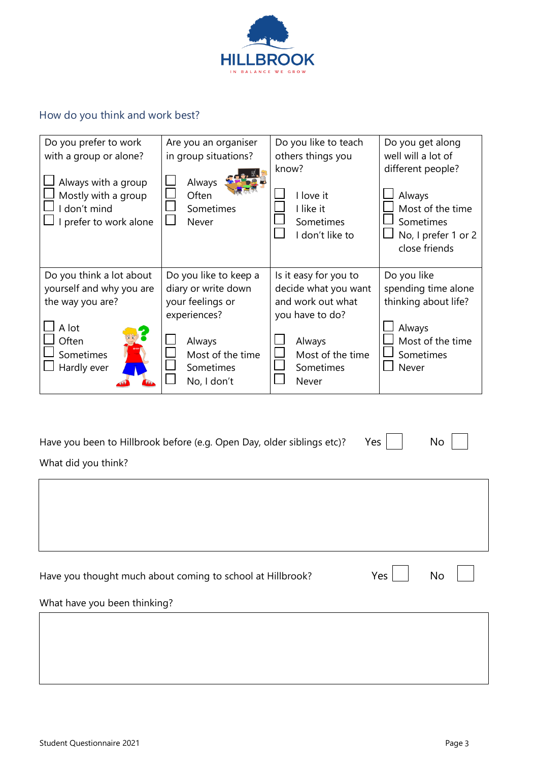

# How do you think and work best?

| Do you prefer to work                                                                | Are you an organiser                  | Do you like to teach                                            | Do you get along                                                                                     |  |
|--------------------------------------------------------------------------------------|---------------------------------------|-----------------------------------------------------------------|------------------------------------------------------------------------------------------------------|--|
| with a group or alone?                                                               | in group situations?                  | others things you                                               | well will a lot of                                                                                   |  |
| Always with a group<br>Mostly with a group<br>I don't mind<br>I prefer to work alone | Always<br>Often<br>Sometimes<br>Never | know?<br>I love it<br>I like it<br>Sometimes<br>I don't like to | different people?<br>Always<br>Most of the time<br>Sometimes<br>No, I prefer 1 or 2<br>close friends |  |
| Do you think a lot about                                                             | Do you like to keep a                 | Is it easy for you to                                           | Do you like                                                                                          |  |
| yourself and why you are                                                             | diary or write down                   | decide what you want                                            | spending time alone                                                                                  |  |
| the way you are?                                                                     | your feelings or                      | and work out what                                               | thinking about life?                                                                                 |  |
|                                                                                      | experiences?                          | you have to do?                                                 |                                                                                                      |  |
| A lot                                                                                |                                       |                                                                 | Always                                                                                               |  |
| Often                                                                                | Always                                | Always                                                          | Most of the time                                                                                     |  |
| Sometimes                                                                            | Most of the time                      | Most of the time                                                | Sometimes                                                                                            |  |
| Hardly ever                                                                          | Sometimes                             | Sometimes                                                       | Never                                                                                                |  |
|                                                                                      | No, I don't                           | Never                                                           |                                                                                                      |  |

| Have you been to Hillbrook before (e.g. Open Day, older siblings etc)? | Yes | No |
|------------------------------------------------------------------------|-----|----|
| What did you think?                                                    |     |    |
|                                                                        |     |    |

|  | Have you thought much about coming to school at Hillbrook? |
|--|------------------------------------------------------------|
|--|------------------------------------------------------------|

 $Yes$  No

What have you been thinking?